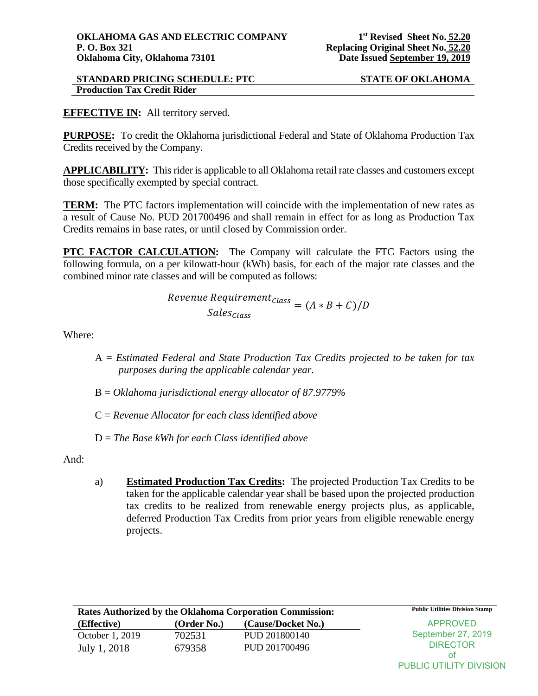## **STANDARD PRICING SCHEDULE: PTC STATE OF OKLAHOMA Production Tax Credit Rider**

# **EFFECTIVE IN:** All territory served.

**PURPOSE:** To credit the Oklahoma jurisdictional Federal and State of Oklahoma Production Tax Credits received by the Company.

**APPLICABILITY:** This rider is applicable to all Oklahoma retail rate classes and customers except those specifically exempted by special contract.

**TERM:** The PTC factors implementation will coincide with the implementation of new rates as a result of Cause No. PUD 201700496 and shall remain in effect for as long as Production Tax Credits remains in base rates, or until closed by Commission order.

**PTC FACTOR CALCULATION:** The Company will calculate the FTC Factors using the following formula, on a per kilowatt-hour (kWh) basis, for each of the major rate classes and the combined minor rate classes and will be computed as follows:

$$
\frac{Revenue\,Required_{Class}}{Sales_{Class}} = (A * B + C)/D
$$

Where:

- A = *Estimated Federal and State Production Tax Credits projected to be taken for tax purposes during the applicable calendar year.*
- B = *Oklahoma jurisdictional energy allocator of 87.9779%*
- C = *Revenue Allocator for each class identified above*
- D = *The Base kWh for each Class identified above*

And:

a) **Estimated Production Tax Credits:** The projected Production Tax Credits to be taken for the applicable calendar year shall be based upon the projected production tax credits to be realized from renewable energy projects plus, as applicable, deferred Production Tax Credits from prior years from eligible renewable energy projects.

| Rates Authorized by the Oklahoma Corporation Commission: |             |                    | <b>Public Utilities Division Stamp</b> |
|----------------------------------------------------------|-------------|--------------------|----------------------------------------|
| (Effective)                                              | (Order No.) | (Cause/Docket No.) | <b>APPROVED</b>                        |
| October 1, 2019                                          | 702531      | PUD 201800140      | September 27, 2019                     |
| July 1, 2018                                             | 679358      | PUD 201700496      | <b>DIRECTOR</b>                        |
|                                                          |             |                    | ΩŤ                                     |
|                                                          |             |                    | <b>PUBLIC UTILITY DIVISION</b>         |